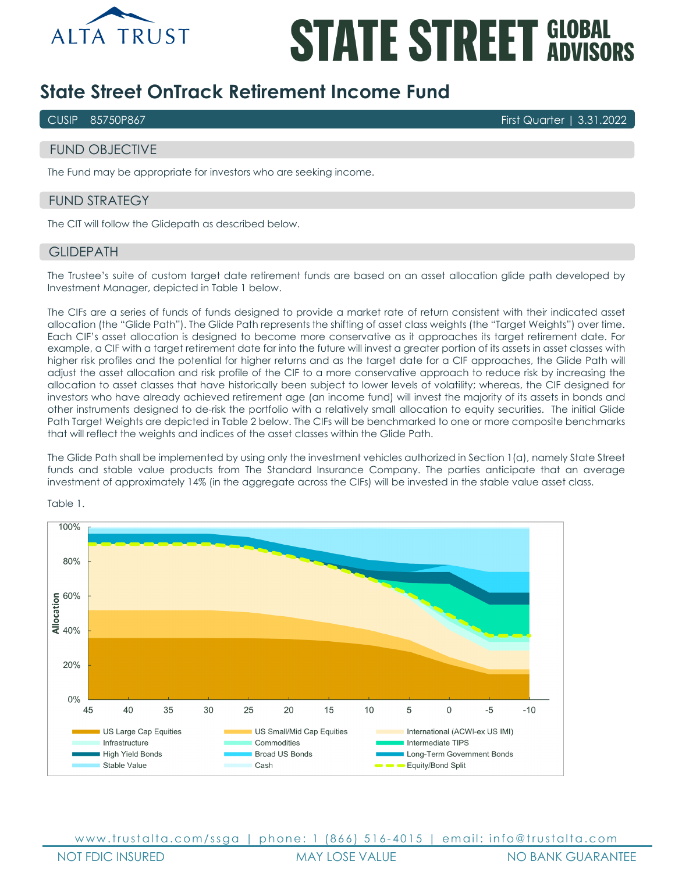

# **STATE STREET GLOBAL**

# **State Street OnTrack Retirement Income Fund**

CUSIP 85750P867 First Quarter | 3.31.2022

# FUND OBJECTIVE

The Fund may be appropriate for investors who are seeking income.

# FUND STRATEGY

The CIT will follow the Glidepath as described below.

## **GLIDEPATH**

The Trustee's suite of custom target date retirement funds are based on an asset allocation glide path developed by Investment Manager, depicted in Table 1 below.

The CIFs are a series of funds of funds designed to provide a market rate of return consistent with their indicated asset allocation (the "Glide Path"). The Glide Path represents the shifting of asset class weights (the "Target Weights") over time. Each CIF's asset allocation is designed to become more conservative as it approaches its target retirement date. For example, a CIF with a target retirement date far into the future will invest a greater portion of its assets in asset classes with higher risk profiles and the potential for higher returns and as the target date for a CIF approaches, the Glide Path will adjust the asset allocation and risk profile of the CIF to a more conservative approach to reduce risk by increasing the allocation to asset classes that have historically been subject to lower levels of volatility; whereas, the CIF designed for investors who have already achieved retirement age (an income fund) will invest the majority of its assets in bonds and other instruments designed to de-risk the portfolio with a relatively small allocation to equity securities. The initial Glide Path Target Weights are depicted in Table 2 below. The CIFs will be benchmarked to one or more composite benchmarks that will reflect the weights and indices of the asset classes within the Glide Path.

The Glide Path shall be implemented by using only the investment vehicles authorized in Section 1(a), namely State Street funds and stable value products from The Standard Insurance Company. The parties anticipate that an average investment of approximately 14% (in the aggregate across the CIFs) will be invested in the stable value asset class.



Table 1.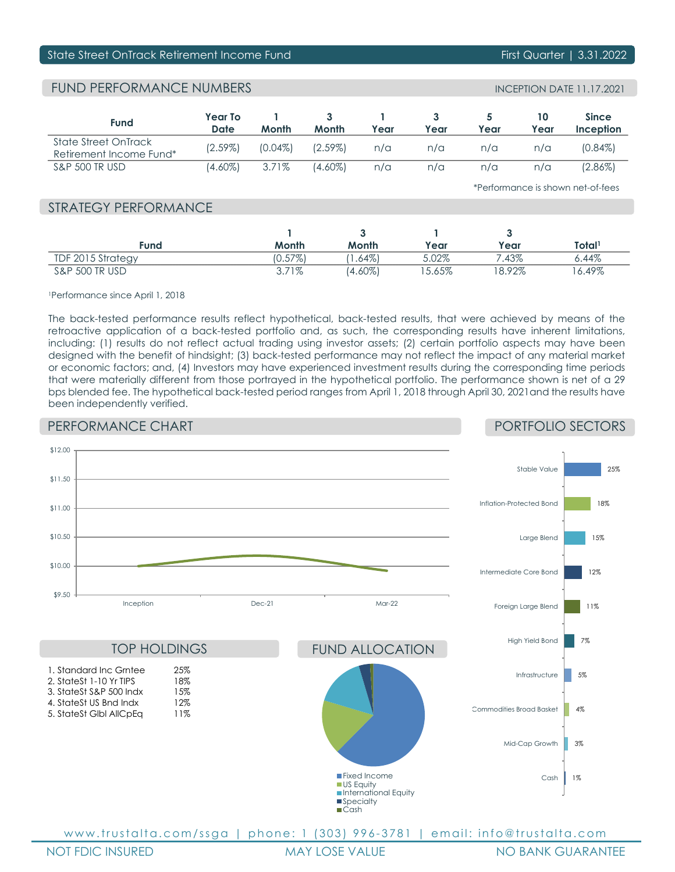# State Street OnTrack Retirement Income Fund First Quarter Hand First Quarter | 3.31.2022

# FUND PERFORMANCE NUMBERS

| <b>Fund</b>                                     | Year To<br><b>Date</b> | Month      | Month      | Year | Year | Year | 10<br>Year | <b>Since</b><br>Inception |
|-------------------------------------------------|------------------------|------------|------------|------|------|------|------------|---------------------------|
| State Street OnTrack<br>Retirement Income Fund* | $(2.59\%)$             | $(0.04\%)$ | $(2.59\%)$ | n/a  | n/a  | n/a  | n/a        | $(0.84\%)$                |
| <b>S&amp;P 500 TR USD</b>                       | $(4.60\%)$             | 3.71%      | (4.60%)    | n/a  | n/a  | n/a  | n/a        | $(2.86\%)$                |

\*Performance is shown net-of-fees

# STRATEGY PERFORMANCE

| Fund              | Month      | Month      | Year     | Year   | Total <sup>1</sup> |
|-------------------|------------|------------|----------|--------|--------------------|
| TDF 2015 Strategy | $(0.57\%)$ | . .64%)    | 5.02%    | .43%   | $6.44\%$           |
| S&P 500 TR USD    | $3.71\%$   | $(4.60\%)$ | $5.65\%$ | 18.92% | 6.49%              |

1Performance since April 1, 2018

The back-tested performance results reflect hypothetical, back-tested results, that were achieved by means of the retroactive application of a back-tested portfolio and, as such, the corresponding results have inherent limitations, including: (1) results do not reflect actual trading using investor assets; (2) certain portfolio aspects may have been designed with the benefit of hindsight; (3) back-tested performance may not reflect the impact of any material market or economic factors; and, (4) Investors may have experienced investment results during the corresponding time periods that were materially different from those portrayed in the hypothetical portfolio. The performance shown is net of a 29 bps blended fee. The hypothetical back-tested period ranges from April 1, 2018 through April 30, 2021and the results have been independently verified.

# PERFORMANCE CHART

# PORTFOLIO SECTORS



NOT FDIC INSURED **MAY LOSE VALUE NO BANK GUARANTEE**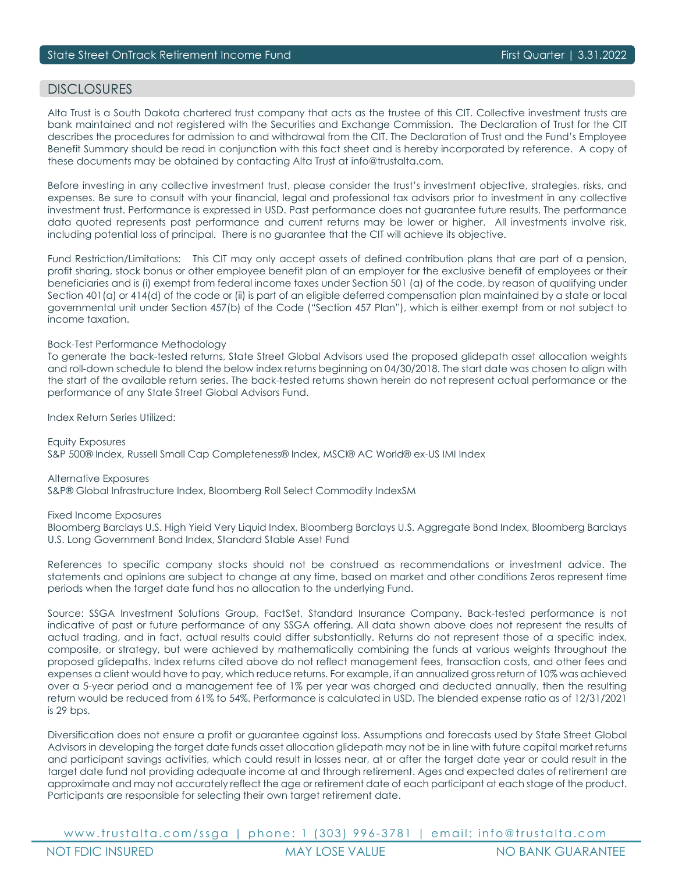# DISCLOSURES

Alta Trust is a South Dakota chartered trust company that acts as the trustee of this CIT. Collective investment trusts are bank maintained and not registered with the Securities and Exchange Commission. The Declaration of Trust for the CIT describes the procedures for admission to and withdrawal from the CIT. The Declaration of Trust and the Fund's Employee Benefit Summary should be read in conjunction with this fact sheet and is hereby incorporated by reference. A copy of these documents may be obtained by contacting Alta Trust at info@trustalta.com.

Before investing in any collective investment trust, please consider the trust's investment objective, strategies, risks, and expenses. Be sure to consult with your financial, legal and professional tax advisors prior to investment in any collective investment trust. Performance is expressed in USD. Past performance does not guarantee future results. The performance data quoted represents past performance and current returns may be lower or higher. All investments involve risk, including potential loss of principal. There is no guarantee that the CIT will achieve its objective.

Fund Restriction/Limitations: This CIT may only accept assets of defined contribution plans that are part of a pension, profit sharing, stock bonus or other employee benefit plan of an employer for the exclusive benefit of employees or their beneficiaries and is (i) exempt from federal income taxes under Section 501 (a) of the code, by reason of qualifying under Section 401(a) or 414(d) of the code or (ii) is part of an eligible deferred compensation plan maintained by a state or local governmental unit under Section 457(b) of the Code ("Section 457 Plan"), which is either exempt from or not subject to income taxation.

### Back-Test Performance Methodology

To generate the back-tested returns, State Street Global Advisors used the proposed glidepath asset allocation weights and roll-down schedule to blend the below index returns beginning on 04/30/2018. The start date was chosen to align with the start of the available return series. The back-tested returns shown herein do not represent actual performance or the performance of any State Street Global Advisors Fund.

Index Return Series Utilized:

Equity Exposures S&P 500® Index, Russell Small Cap Completeness® Index, MSCI® AC World® ex-US IMI Index

Alternative Exposures S&P® Global Infrastructure Index, Bloomberg Roll Select Commodity IndexSM

Fixed Income Exposures

Bloomberg Barclays U.S. High Yield Very Liquid Index, Bloomberg Barclays U.S. Aggregate Bond Index, Bloomberg Barclays U.S. Long Government Bond Index, Standard Stable Asset Fund

References to specific company stocks should not be construed as recommendations or investment advice. The statements and opinions are subject to change at any time, based on market and other conditions Zeros represent time periods when the target date fund has no allocation to the underlying Fund.

Source: SSGA Investment Solutions Group, FactSet, Standard Insurance Company. Back-tested performance is not indicative of past or future performance of any SSGA offering. All data shown above does not represent the results of actual trading, and in fact, actual results could differ substantially. Returns do not represent those of a specific index, composite, or strategy, but were achieved by mathematically combining the funds at various weights throughout the proposed glidepaths. Index returns cited above do not reflect management fees, transaction costs, and other fees and expenses a client would have to pay, which reduce returns. For example, if an annualized gross return of 10% was achieved over a 5-year period and a management fee of 1% per year was charged and deducted annually, then the resulting return would be reduced from 61% to 54%. Performance is calculated in USD. The blended expense ratio as of 12/31/2021 is 29 bps.

Diversification does not ensure a profit or guarantee against loss. Assumptions and forecasts used by State Street Global Advisors in developing the target date funds asset allocation glidepath may not be in line with future capital market returns and participant savings activities, which could result in losses near, at or after the target date year or could result in the target date fund not providing adequate income at and through retirement. Ages and expected dates of retirement are approximate and may not accurately reflect the age or retirement date of each participant at each stage of the product. Participants are responsible for selecting their own target retirement date.

www.trustalta.com/ ssga | phone: 1 ( 303 ) 9 9 6 - 3781 | email: info@trustalta.com